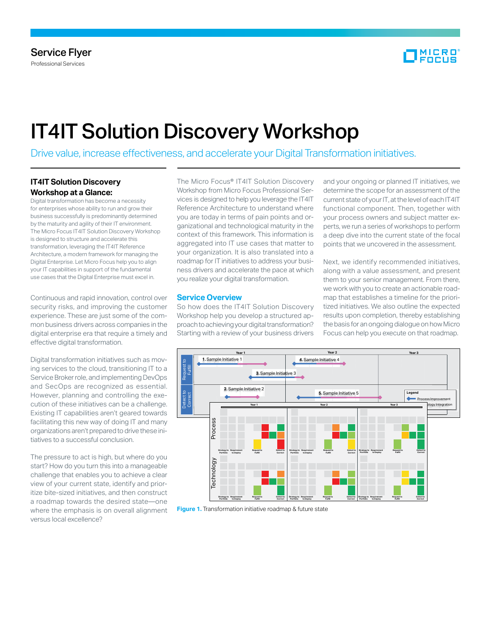

# IT4IT Solution Discovery Workshop

Drive value, increase effectiveness, and accelerate your Digital Transformation initiatives.

# **IT4IT Solution Discovery Workshop at a Glance:**

Digital transformation has become a necessity for enterprises whose ability to run and grow their business successfully is predominantly determined by the maturity and agility of their IT environment. The Micro Focus IT4IT Solution Discovery Workshop is designed to structure and accelerate this transformation, leveraging the IT4IT Reference Architecture, a modern framework for managing the Digital Enterprise. Let Micro Focus help you to align your IT capabilities in support of the fundamental use cases that the Digital Enterprise must excel in.

Continuous and rapid innovation, control over security risks, and improving the customer experience. These are just some of the common business drivers across companies in the digital enterprise era that require a timely and effective digital transformation.

Digital transformation initiatives such as moving services to the cloud, transitioning IT to a Service Broker role, and implementing DevOps and SecOps are recognized as essential. However, planning and controlling the execution of these initiatives can be a challenge. Existing IT capabilities aren't geared towards facilitating this new way of doing IT and many organizations aren't prepared to drive these initiatives to a successful conclusion.

The pressure to act is high, but where do you start? How do you turn this into a manageable challenge that enables you to achieve a clear view of your current state, identify and prioritize bite-sized initiatives, and then construct a roadmap towards the desired state—one where the emphasis is on overall alignment versus local excellence?

The Micro Focus® IT4IT Solution Discovery Workshop from Micro Focus Professional Services is designed to help you leverage the IT4IT Reference Architecture to understand where you are today in terms of pain points and organizational and technological maturity in the context of this framework. This information is aggregated into IT use cases that matter to your organization. It is also translated into a roadmap for IT initiatives to address your business drivers and accelerate the pace at which you realize your digital transformation.

#### **Service Overview**

So how does the IT4IT Solution Discovery Workshop help you develop a structured approach to achieving your digital transformation? Starting with a review of your business drivers and your ongoing or planned IT initiatives, we determine the scope for an assessment of the current state of your IT, at the level of each IT4IT functional component. Then, together with your process owners and subject matter experts, we run a series of workshops to perform a deep dive into the current state of the focal points that we uncovered in the assessment.

Next, we identify recommended initiatives, along with a value assessment, and present them to your senior management. From there, we work with you to create an actionable roadmap that establishes a timeline for the prioritized initiatives. We also outline the expected results upon completion, thereby establishing the basis for an ongoing dialogue on how Micro Focus can help you execute on that roadmap.



**Figure 1.** Transformation initiative roadmap & future state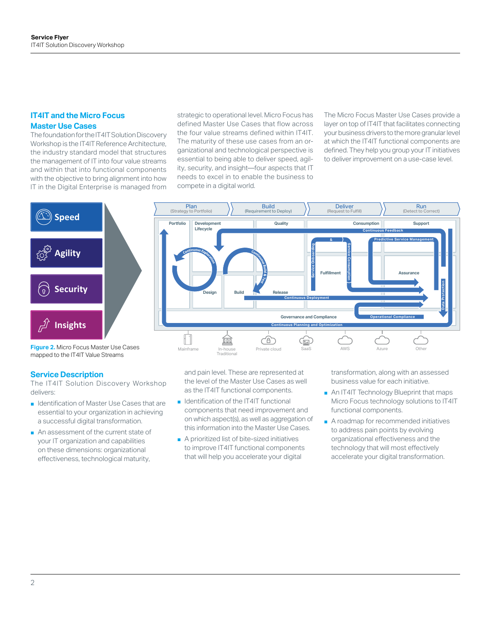## **IT4IT and the Micro Focus Master Use Cases**

The foundation for the IT4IT Solution Discovery Workshop is the IT4IT Reference Architecture, the industry standard model that structures the management of IT into four value streams and within that into functional components with the objective to bring alignment into how IT in the Digital Enterprise is managed from strategic to operational level. Micro Focus has defined Master Use Cases that flow across the four value streams defined within IT4IT. The maturity of these use cases from an organizational and technological perspective is essential to being able to deliver speed, agility, security, and insight—four aspects that IT needs to excel in to enable the business to compete in a digital world.

The Micro Focus Master Use Cases provide a layer on top of IT4IT that facilitates connecting your business drivers to the more granular level at which the IT4IT functional components are defined. They help you group your IT initiatives to deliver improvement on a use-case level.



mapped to the IT4IT Value Streams

## **Service Description**

The IT4IT Solution Discovery Workshop delivers:

- Identification of Master Use Cases that are essential to your organization in achieving a successful digital transformation.
- An assessment of the current state of your IT organization and capabilities on these dimensions: organizational effectiveness, technological maturity,

and pain level. These are represented at the level of the Master Use Cases as well as the IT4IT functional components.

- Identification of the IT4IT functional components that need improvement and on which aspect(s), as well as aggregation of this information into the Master Use Cases.
- A prioritized list of bite-sized initiatives to improve IT4IT functional components that will help you accelerate your digital

transformation, along with an assessed business value for each initiative.

- An IT4IT Technology Blueprint that maps Micro Focus technology solutions to IT4IT functional components.
- A roadmap for recommended initiatives to address pain points by evolving organizational effectiveness and the technology that will most effectively accelerate your digital transformation.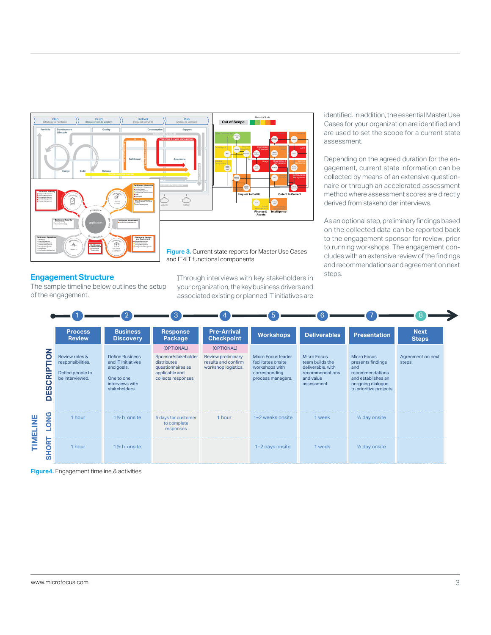



**Figure 3.** Current state reports for Master Use Cases and IT4IT functional components

]Through interviews with key stakeholders in

identified. In addition, the essential Master Use Cases for your organization are identified and are used to set the scope for a current state assessment.

Depending on the agreed duration for the engagement, current state information can be collected by means of an extensive questionnaire or through an accelerated assessment method where assessment scores are directly derived from stakeholder interviews.

As an optional step, preliminary findings based on the collected data can be reported back to the engagement sponsor for review, prior to running workshops. The engagement concludes with an extensive review of the findings and recommendations and agreement on next steps.

## **Engagement Structure**

The sample timeline below outlines the setup of the engagement.

your organization, the key business drivers and associated existing or planned IT initiatives are

|                                  |                                                                            |                                                                                                              | 3                                                                                                              |                                                                                | 5                                                                                                |                                                                                                    |                                                                                                                                  |                             |
|----------------------------------|----------------------------------------------------------------------------|--------------------------------------------------------------------------------------------------------------|----------------------------------------------------------------------------------------------------------------|--------------------------------------------------------------------------------|--------------------------------------------------------------------------------------------------|----------------------------------------------------------------------------------------------------|----------------------------------------------------------------------------------------------------------------------------------|-----------------------------|
|                                  | <b>Process</b><br><b>Review</b>                                            | <b>Business</b><br><b>Discovery</b>                                                                          | <b>Response</b><br>Package                                                                                     | <b>Pre-Arrival</b><br><b>Checkpoint</b>                                        | <b>Workshops</b>                                                                                 | <b>Deliverables</b>                                                                                | <b>Presentation</b>                                                                                                              | <b>Next</b><br><b>Steps</b> |
| o<br>o.<br>œ<br>ပ<br>ທ<br>ш<br>≏ | Review roles &<br>responsibilities.<br>Define people to<br>be interviewed. | <b>Define Business</b><br>and IT Initiatives<br>and goals.<br>One to one<br>interviews with<br>stakeholders. | (OPTIONAL)<br>Sponsor/stakeholder<br>distributes<br>questionnaires as<br>applicable and<br>collects responses. | (OPTIONAL)<br>Review preliminary<br>results and confirm<br>workshop logistics. | Micro Focus leader<br>facilitates onsite<br>workshops with<br>corresponding<br>process managers. | Micro Focus<br>team builds the<br>deliverable, with<br>recommendations<br>and value<br>assessment. | Micro Focus<br>presents findings<br>and<br>recommendations<br>and establishes an<br>on-going dialogue<br>to prioritize projects. | Agreement on next<br>steps. |
| <b>DNOT</b><br>TIMELINE          | 1 hour                                                                     | $1\frac{1}{2}$ h onsite                                                                                      | 5 days for customer<br>to complete<br>responses                                                                | 1 hour                                                                         | 1-2 weeks onsite                                                                                 | 1 week                                                                                             | 1/ <sub>2</sub> day onsite                                                                                                       |                             |
| DRT<br>ທ                         | 1 hour                                                                     | 11/2 h onsite                                                                                                |                                                                                                                |                                                                                | 1-2 days onsite                                                                                  | 1 week                                                                                             | 1/ <sub>2</sub> day onsite                                                                                                       |                             |

**Figure4.** Engagement timeline & activities